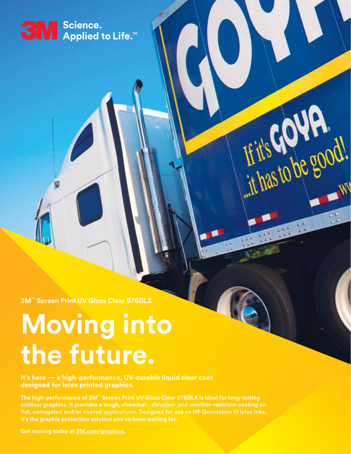## SN Science.<br>● Applied to Life.™

**3M™ Screen Print UV Gloss Clear 9760LX** 

# **Moving into the future.**

**It's here — a high-performance, UV-curable liquid clear coat designed for latex printed graphics.**

**The high-performance of 3M™ Screen Print UV Gloss Clear 9760LX is ideal for long-lasting outdoor graphics. It provides a tough, chemical-, abrasion- and weather-resistant coating on flat, corrugated and/or riveted applications. Designed for use on HP Generation III latex inks, it's the graphic protection solution you've been waiting for.**

Fit's Gove good!

**Get moving today at 3M.com/graphics.**